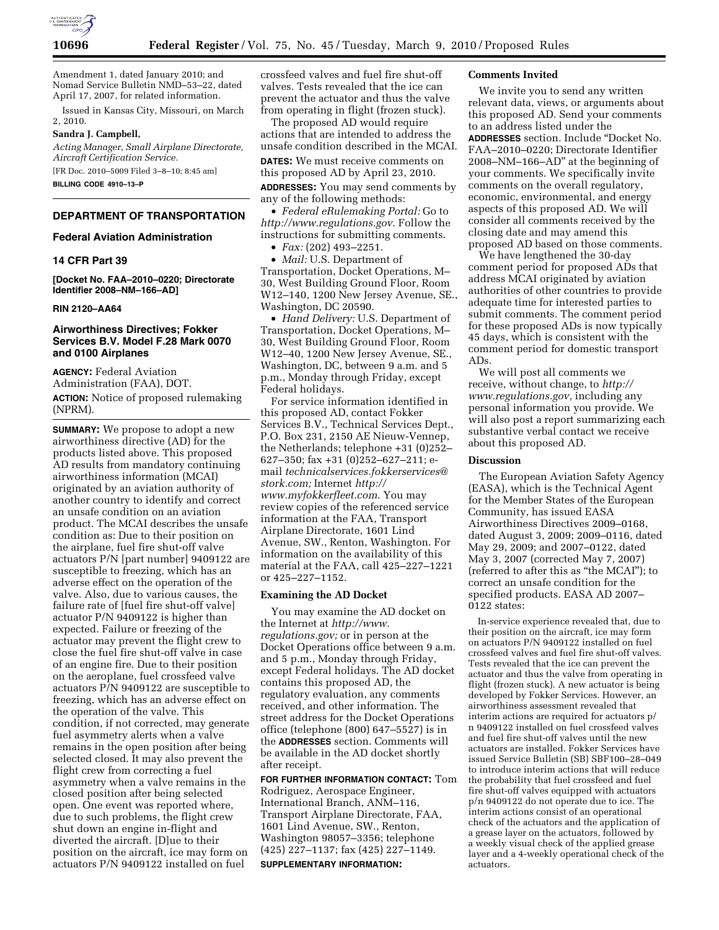

Amendment 1, dated January 2010; and Nomad Service Bulletin NMD–53–22, dated April 17, 2007, for related information.

Issued in Kansas City, Missouri, on March 2, 2010.

# **Sandra J. Campbell,**

*Acting Manager, Small Airplane Directorate, Aircraft Certification Service.*  [FR Doc. 2010–5009 Filed 3–8–10; 8:45 am]

**BILLING CODE 4910–13–P** 

# **DEPARTMENT OF TRANSPORTATION**

# **Federal Aviation Administration**

# **14 CFR Part 39**

**[Docket No. FAA–2010–0220; Directorate Identifier 2008–NM–166–AD]** 

# **RIN 2120–AA64**

# **Airworthiness Directives; Fokker Services B.V. Model F.28 Mark 0070 and 0100 Airplanes**

**AGENCY:** Federal Aviation Administration (FAA), DOT. **ACTION:** Notice of proposed rulemaking (NPRM).

**SUMMARY:** We propose to adopt a new airworthiness directive (AD) for the products listed above. This proposed AD results from mandatory continuing airworthiness information (MCAI) originated by an aviation authority of another country to identify and correct an unsafe condition on an aviation product. The MCAI describes the unsafe condition as: Due to their position on the airplane, fuel fire shut-off valve actuators P/N [part number] 9409122 are susceptible to freezing, which has an adverse effect on the operation of the valve. Also, due to various causes, the failure rate of [fuel fire shut-off valve] actuator P/N 9409122 is higher than expected. Failure or freezing of the actuator may prevent the flight crew to close the fuel fire shut-off valve in case of an engine fire. Due to their position on the aeroplane, fuel crossfeed valve actuators P/N 9409122 are susceptible to freezing, which has an adverse effect on the operation of the valve. This condition, if not corrected, may generate fuel asymmetry alerts when a valve remains in the open position after being selected closed. It may also prevent the flight crew from correcting a fuel asymmetry when a valve remains in the closed position after being selected open. One event was reported where, due to such problems, the flight crew shut down an engine in-flight and diverted the aircraft. [D]ue to their position on the aircraft, ice may form on actuators P/N 9409122 installed on fuel

crossfeed valves and fuel fire shut-off valves. Tests revealed that the ice can prevent the actuator and thus the valve from operating in flight (frozen stuck).

The proposed AD would require actions that are intended to address the unsafe condition described in the MCAI.

**DATES:** We must receive comments on this proposed AD by April 23, 2010.

**ADDRESSES:** You may send comments by any of the following methods:

• *Federal eRulemaking Portal:* Go to *http://www.regulations.gov*. Follow the instructions for submitting comments.

• *Fax:* (202) 493–2251.

• *Mail:* U.S. Department of Transportation, Docket Operations, M– 30, West Building Ground Floor, Room W12–140, 1200 New Jersey Avenue, SE., Washington, DC 20590.

• *Hand Delivery:* U.S. Department of Transportation, Docket Operations, M– 30, West Building Ground Floor, Room W12–40, 1200 New Jersey Avenue, SE., Washington, DC, between 9 a.m. and 5 p.m., Monday through Friday, except Federal holidays.

For service information identified in this proposed AD, contact Fokker Services B.V., Technical Services Dept., P.O. Box 231, 2150 AE Nieuw-Vennep, the Netherlands; telephone +31 (0)252– 627–350; fax +31 (0)252–627–211; email *technicalservices.fokkerservices@ stork.com;* Internet *http:// www.myfokkerfleet.com*. You may review copies of the referenced service information at the FAA, Transport Airplane Directorate, 1601 Lind Avenue, SW., Renton, Washington. For information on the availability of this material at the FAA, call 425–227–1221 or 425–227–1152.

### **Examining the AD Docket**

You may examine the AD docket on the Internet at *http://www. regulations.gov;* or in person at the Docket Operations office between 9 a.m. and 5 p.m., Monday through Friday, except Federal holidays. The AD docket contains this proposed AD, the regulatory evaluation, any comments received, and other information. The street address for the Docket Operations office (telephone (800) 647–5527) is in the **ADDRESSES** section. Comments will be available in the AD docket shortly after receipt.

**FOR FURTHER INFORMATION CONTACT:** Tom Rodriguez, Aerospace Engineer, International Branch, ANM–116, Transport Airplane Directorate, FAA, 1601 Lind Avenue, SW., Renton, Washington 98057–3356; telephone (425) 227–1137; fax (425) 227–1149. **SUPPLEMENTARY INFORMATION:** 

# **Comments Invited**

We invite you to send any written relevant data, views, or arguments about this proposed AD. Send your comments to an address listed under the **ADDRESSES** section. Include ''Docket No. FAA–2010–0220; Directorate Identifier 2008–NM–166–AD'' at the beginning of your comments. We specifically invite comments on the overall regulatory, economic, environmental, and energy aspects of this proposed AD. We will consider all comments received by the closing date and may amend this proposed AD based on those comments.

We have lengthened the 30-day comment period for proposed ADs that address MCAI originated by aviation authorities of other countries to provide adequate time for interested parties to submit comments. The comment period for these proposed ADs is now typically 45 days, which is consistent with the comment period for domestic transport ADs.

We will post all comments we receive, without change, to *http:// www.regulations.gov,* including any personal information you provide. We will also post a report summarizing each substantive verbal contact we receive about this proposed AD.

#### **Discussion**

The European Aviation Safety Agency (EASA), which is the Technical Agent for the Member States of the European Community, has issued EASA Airworthiness Directives 2009–0168, dated August 3, 2009; 2009–0116, dated May 29, 2009; and 2007–0122, dated May 3, 2007 (corrected May 7, 2007) (referred to after this as ''the MCAI''); to correct an unsafe condition for the specified products. EASA AD 2007– 0122 states:

In-service experience revealed that, due to their position on the aircraft, ice may form on actuators P/N 9409122 installed on fuel crossfeed valves and fuel fire shut-off valves. Tests revealed that the ice can prevent the actuator and thus the valve from operating in flight (frozen stuck). A new actuator is being developed by Fokker Services. However, an airworthiness assessment revealed that interim actions are required for actuators p/ n 9409122 installed on fuel crossfeed valves and fuel fire shut-off valves until the new actuators are installed. Fokker Services have issued Service Bulletin (SB) SBF100–28–049 to introduce interim actions that will reduce the probability that fuel crossfeed and fuel fire shut-off valves equipped with actuators p/n 9409122 do not operate due to ice. The interim actions consist of an operational check of the actuators and the application of a grease layer on the actuators, followed by a weekly visual check of the applied grease layer and a 4-weekly operational check of the actuators.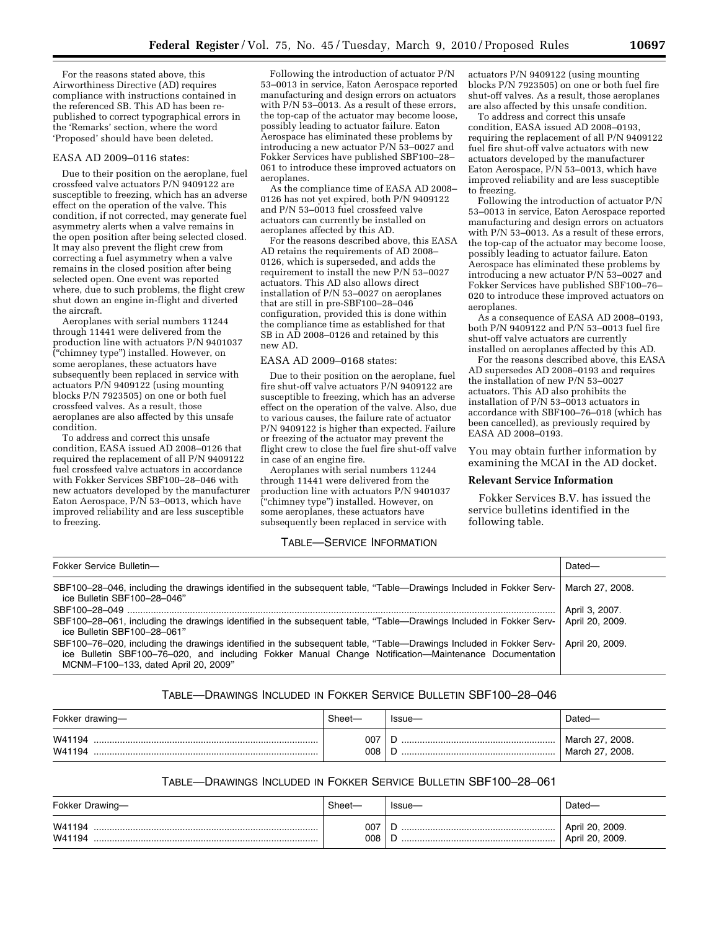For the reasons stated above, this Airworthiness Directive (AD) requires compliance with instructions contained in the referenced SB. This AD has been republished to correct typographical errors in the 'Remarks' section, where the word 'Proposed' should have been deleted.

#### EASA AD 2009–0116 states:

Due to their position on the aeroplane, fuel crossfeed valve actuators P/N 9409122 are susceptible to freezing, which has an adverse effect on the operation of the valve. This condition, if not corrected, may generate fuel asymmetry alerts when a valve remains in the open position after being selected closed. It may also prevent the flight crew from correcting a fuel asymmetry when a valve remains in the closed position after being selected open. One event was reported where, due to such problems, the flight crew shut down an engine in-flight and diverted the aircraft.

Aeroplanes with serial numbers 11244 through 11441 were delivered from the production line with actuators P/N 9401037 (''chimney type'') installed. However, on some aeroplanes, these actuators have subsequently been replaced in service with actuators P/N 9409122 (using mounting blocks P/N 7923505) on one or both fuel crossfeed valves. As a result, those aeroplanes are also affected by this unsafe condition.

To address and correct this unsafe condition, EASA issued AD 2008–0126 that required the replacement of all P/N 9409122 fuel crossfeed valve actuators in accordance with Fokker Services SBF100–28–046 with new actuators developed by the manufacturer Eaton Aerospace,  $P/N$  53-0013, which have improved reliability and are less susceptible to freezing.

Following the introduction of actuator P/N 53–0013 in service, Eaton Aerospace reported manufacturing and design errors on actuators with P/N 53-0013. As a result of these errors, the top-cap of the actuator may become loose, possibly leading to actuator failure. Eaton Aerospace has eliminated these problems by introducing a new actuator P/N 53–0027 and Fokker Services have published SBF100–28– 061 to introduce these improved actuators on aeroplanes.

As the compliance time of EASA AD 2008– 0126 has not yet expired, both P/N 9409122 and P/N 53–0013 fuel crossfeed valve actuators can currently be installed on aeroplanes affected by this AD.

For the reasons described above, this EASA AD retains the requirements of AD 2008– 0126, which is superseded, and adds the requirement to install the new P/N 53–0027 actuators. This AD also allows direct installation of P/N 53–0027 on aeroplanes that are still in pre-SBF100–28–046 configuration, provided this is done within the compliance time as established for that SB in AD 2008–0126 and retained by this new AD.

# EASA AD 2009–0168 states:

Due to their position on the aeroplane, fuel fire shut-off valve actuators P/N 9409122 are susceptible to freezing, which has an adverse effect on the operation of the valve. Also, due to various causes, the failure rate of actuator P/N 9409122 is higher than expected. Failure or freezing of the actuator may prevent the flight crew to close the fuel fire shut-off valve in case of an engine fire.

Aeroplanes with serial numbers 11244 through 11441 were delivered from the production line with actuators P/N 9401037 (''chimney type'') installed. However, on some aeroplanes, these actuators have subsequently been replaced in service with

# TABLE—SERVICE INFORMATION

actuators P/N 9409122 (using mounting blocks P/N 7923505) on one or both fuel fire shut-off valves. As a result, those aeroplanes are also affected by this unsafe condition.

To address and correct this unsafe condition, EASA issued AD 2008–0193, requiring the replacement of all P/N 9409122 fuel fire shut-off valve actuators with new actuators developed by the manufacturer Eaton Aerospace, P/N 53–0013, which have improved reliability and are less susceptible to freezing.

Following the introduction of actuator P/N 53–0013 in service, Eaton Aerospace reported manufacturing and design errors on actuators with P/N 53-0013. As a result of these errors, the top-cap of the actuator may become loose, possibly leading to actuator failure. Eaton Aerospace has eliminated these problems by introducing a new actuator P/N 53–0027 and Fokker Services have published SBF100–76– 020 to introduce these improved actuators on aeroplanes.

As a consequence of EASA AD 2008–0193, both P/N 9409122 and P/N 53–0013 fuel fire shut-off valve actuators are currently installed on aeroplanes affected by this AD.

For the reasons described above, this EASA AD supersedes AD 2008–0193 and requires the installation of new P/N 53–0027 actuators. This AD also prohibits the installation of P/N 53–0013 actuators in accordance with SBF100–76–018 (which has been cancelled), as previously required by EASA AD 2008–0193.

You may obtain further information by examining the MCAI in the AD docket.

# **Relevant Service Information**

Fokker Services B.V. has issued the service bulletins identified in the following table.

| Fokker Service Bulletin-                                                                                                                                                                                                                                            | Dated-          |
|---------------------------------------------------------------------------------------------------------------------------------------------------------------------------------------------------------------------------------------------------------------------|-----------------|
| SBF100-28-046, including the drawings identified in the subsequent table, "Table—Drawings Included in Fokker Serv-<br>ice Bulletin SBF100-28-046"                                                                                                                   | March 27, 2008. |
|                                                                                                                                                                                                                                                                     | April 3, 2007.  |
| SBF100-28-061, including the drawings identified in the subsequent table, "Table—Drawings Included in Fokker Serv-<br>ice Bulletin SBF100-28-061"                                                                                                                   | April 20, 2009. |
| SBF100-76-020, including the drawings identified in the subsequent table, "Table—Drawings Included in Fokker Serv-<br>ice Bulletin SBF100-76-020, and including Fokker Manual Change Notification-Maintenance Documentation<br>MCNM-F100-133, dated April 20, 2009" | April 20, 2009. |

# TABLE—DRAWINGS INCLUDED IN FOKKER SERVICE BULLETIN SBF100–28–046

| Fokker drawing-  | Sheet-     | Issue- | Dated-                             |
|------------------|------------|--------|------------------------------------|
| W41194<br>W41194 | 007<br>008 |        | March 27, 2008.<br>March 27, 2008. |

# TABLE—DRAWINGS INCLUDED IN FOKKER SERVICE BULLETIN SBF100–28–061

| Fokker Drawing-  | Sheet-     | Issue- | Dated                                           |
|------------------|------------|--------|-------------------------------------------------|
| W41194<br>W41194 | 007<br>008 |        | <sup>'</sup> April 20, 2009.<br>April 20, 2009. |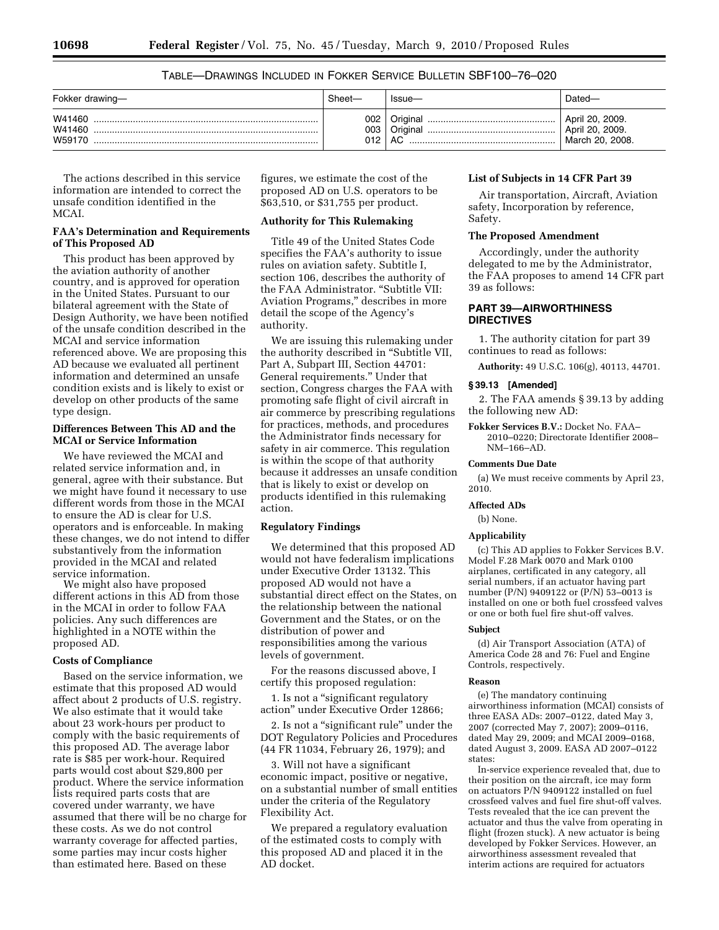# TABLE—DRAWINGS INCLUDED IN FOKKER SERVICE BULLETIN SBF100–76–020

| Fokker drawing-            | Sheet—            | Issue- | Dated—                                                |
|----------------------------|-------------------|--------|-------------------------------------------------------|
| W41460<br>W41460<br>W59170 | 002<br>003<br>012 | AC     | April 20, 2009.<br>April 20, 2009.<br>March 20, 2008. |

The actions described in this service information are intended to correct the unsafe condition identified in the MCAI.

# **FAA's Determination and Requirements of This Proposed AD**

This product has been approved by the aviation authority of another country, and is approved for operation in the United States. Pursuant to our bilateral agreement with the State of Design Authority, we have been notified of the unsafe condition described in the MCAI and service information referenced above. We are proposing this AD because we evaluated all pertinent information and determined an unsafe condition exists and is likely to exist or develop on other products of the same type design.

# **Differences Between This AD and the MCAI or Service Information**

We have reviewed the MCAI and related service information and, in general, agree with their substance. But we might have found it necessary to use different words from those in the MCAI to ensure the AD is clear for U.S. operators and is enforceable. In making these changes, we do not intend to differ substantively from the information provided in the MCAI and related service information.

We might also have proposed different actions in this AD from those in the MCAI in order to follow FAA policies. Any such differences are highlighted in a NOTE within the proposed AD.

#### **Costs of Compliance**

Based on the service information, we estimate that this proposed AD would affect about 2 products of U.S. registry. We also estimate that it would take about 23 work-hours per product to comply with the basic requirements of this proposed AD. The average labor rate is \$85 per work-hour. Required parts would cost about \$29,800 per product. Where the service information lists required parts costs that are covered under warranty, we have assumed that there will be no charge for these costs. As we do not control warranty coverage for affected parties, some parties may incur costs higher than estimated here. Based on these

figures, we estimate the cost of the proposed AD on U.S. operators to be \$63,510, or \$31,755 per product.

# **Authority for This Rulemaking**

Title 49 of the United States Code specifies the FAA's authority to issue rules on aviation safety. Subtitle I, section 106, describes the authority of the FAA Administrator. "Subtitle VII: Aviation Programs,'' describes in more detail the scope of the Agency's authority.

We are issuing this rulemaking under the authority described in ''Subtitle VII, Part A, Subpart III, Section 44701: General requirements.'' Under that section, Congress charges the FAA with promoting safe flight of civil aircraft in air commerce by prescribing regulations for practices, methods, and procedures the Administrator finds necessary for safety in air commerce. This regulation is within the scope of that authority because it addresses an unsafe condition that is likely to exist or develop on products identified in this rulemaking action.

# **Regulatory Findings**

We determined that this proposed AD would not have federalism implications under Executive Order 13132. This proposed AD would not have a substantial direct effect on the States, on the relationship between the national Government and the States, or on the distribution of power and responsibilities among the various levels of government.

For the reasons discussed above, I certify this proposed regulation:

1. Is not a ''significant regulatory action'' under Executive Order 12866;

2. Is not a "significant rule" under the DOT Regulatory Policies and Procedures (44 FR 11034, February 26, 1979); and

3. Will not have a significant economic impact, positive or negative, on a substantial number of small entities under the criteria of the Regulatory Flexibility Act.

We prepared a regulatory evaluation of the estimated costs to comply with this proposed AD and placed it in the AD docket.

# **List of Subjects in 14 CFR Part 39**

Air transportation, Aircraft, Aviation safety, Incorporation by reference, Safety.

# **The Proposed Amendment**

Accordingly, under the authority delegated to me by the Administrator, the FAA proposes to amend 14 CFR part 39 as follows:

# **PART 39—AIRWORTHINESS DIRECTIVES**

1. The authority citation for part 39 continues to read as follows:

**Authority:** 49 U.S.C. 106(g), 40113, 44701.

# **§ 39.13 [Amended]**

2. The FAA amends § 39.13 by adding the following new AD:

**Fokker Services B.V.:** Docket No. FAA– 2010–0220; Directorate Identifier 2008– NM–166–AD.

# **Comments Due Date**

(a) We must receive comments by April 23, 2010.

## **Affected ADs**

#### (b) None.

# **Applicability**

(c) This AD applies to Fokker Services B.V. Model F.28 Mark 0070 and Mark 0100 airplanes, certificated in any category, all serial numbers, if an actuator having part number (P/N) 9409122 or (P/N) 53 $-0$ 0013 is installed on one or both fuel crossfeed valves or one or both fuel fire shut-off valves.

#### **Subject**

(d) Air Transport Association (ATA) of America Code 28 and 76: Fuel and Engine Controls, respectively.

# **Reason**

(e) The mandatory continuing airworthiness information (MCAI) consists of three EASA ADs: 2007–0122, dated May 3, 2007 (corrected May 7, 2007); 2009–0116, dated May 29, 2009; and MCAI 2009–0168, dated August 3, 2009. EASA AD 2007–0122 states:

In-service experience revealed that, due to their position on the aircraft, ice may form on actuators P/N 9409122 installed on fuel crossfeed valves and fuel fire shut-off valves. Tests revealed that the ice can prevent the actuator and thus the valve from operating in flight (frozen stuck). A new actuator is being developed by Fokker Services. However, an airworthiness assessment revealed that interim actions are required for actuators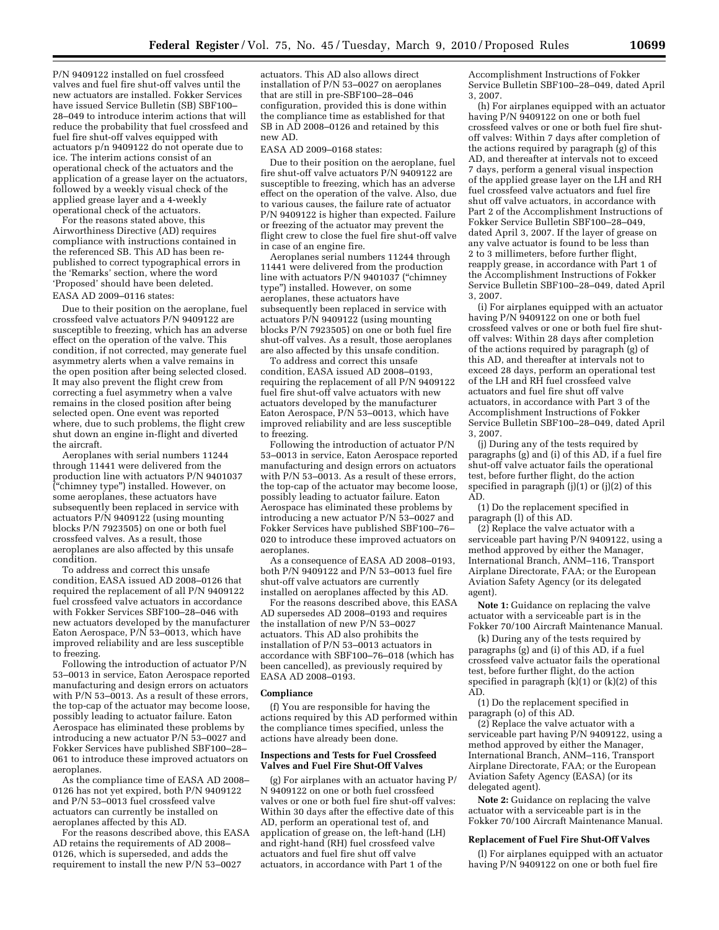P/N 9409122 installed on fuel crossfeed valves and fuel fire shut-off valves until the new actuators are installed. Fokker Services have issued Service Bulletin (SB) SBF100– 28–049 to introduce interim actions that will reduce the probability that fuel crossfeed and fuel fire shut-off valves equipped with actuators p/n 9409122 do not operate due to ice. The interim actions consist of an operational check of the actuators and the application of a grease layer on the actuators, followed by a weekly visual check of the applied grease layer and a 4-weekly operational check of the actuators.

For the reasons stated above, this Airworthiness Directive (AD) requires compliance with instructions contained in the referenced SB. This AD has been republished to correct typographical errors in the 'Remarks' section, where the word 'Proposed' should have been deleted.

# EASA AD 2009–0116 states:

Due to their position on the aeroplane, fuel crossfeed valve actuators P/N 9409122 are susceptible to freezing, which has an adverse effect on the operation of the valve. This condition, if not corrected, may generate fuel asymmetry alerts when a valve remains in the open position after being selected closed. It may also prevent the flight crew from correcting a fuel asymmetry when a valve remains in the closed position after being selected open. One event was reported where, due to such problems, the flight crew shut down an engine in-flight and diverted the aircraft.

Aeroplanes with serial numbers 11244 through 11441 were delivered from the production line with actuators P/N 9401037 (''chimney type'') installed. However, on some aeroplanes, these actuators have subsequently been replaced in service with actuators P/N 9409122 (using mounting blocks P/N 7923505) on one or both fuel crossfeed valves. As a result, those aeroplanes are also affected by this unsafe condition.

To address and correct this unsafe condition, EASA issued AD 2008–0126 that required the replacement of all P/N 9409122 fuel crossfeed valve actuators in accordance with Fokker Services SBF100–28–046 with new actuators developed by the manufacturer Eaton Aerospace,  $P/N$  53–0013, which have improved reliability and are less susceptible to freezing.

Following the introduction of actuator P/N 53–0013 in service, Eaton Aerospace reported manufacturing and design errors on actuators with P/N 53–0013. As a result of these errors, the top-cap of the actuator may become loose, possibly leading to actuator failure. Eaton Aerospace has eliminated these problems by introducing a new actuator P/N 53–0027 and Fokker Services have published SBF100–28– 061 to introduce these improved actuators on aeroplanes.

As the compliance time of EASA AD 2008– 0126 has not yet expired, both P/N 9409122 and P/N 53–0013 fuel crossfeed valve actuators can currently be installed on aeroplanes affected by this AD.

For the reasons described above, this EASA AD retains the requirements of AD 2008– 0126, which is superseded, and adds the requirement to install the new P/N 53–0027

actuators. This AD also allows direct installation of P/N 53–0027 on aeroplanes that are still in pre-SBF100–28–046 configuration, provided this is done within the compliance time as established for that SB in AD 2008–0126 and retained by this new AD.

EASA AD 2009–0168 states:

Due to their position on the aeroplane, fuel fire shut-off valve actuators P/N 9409122 are susceptible to freezing, which has an adverse effect on the operation of the valve. Also, due to various causes, the failure rate of actuator P/N 9409122 is higher than expected. Failure or freezing of the actuator may prevent the flight crew to close the fuel fire shut-off valve in case of an engine fire.

Aeroplanes serial numbers 11244 through 11441 were delivered from the production line with actuators P/N 9401037 (''chimney type'') installed. However, on some aeroplanes, these actuators have subsequently been replaced in service with actuators  $P/N$  9409122 (using mounting blocks P/N 7923505) on one or both fuel fire shut-off valves. As a result, those aeroplanes are also affected by this unsafe condition.

To address and correct this unsafe condition, EASA issued AD 2008–0193, requiring the replacement of all P/N 9409122 fuel fire shut-off valve actuators with new actuators developed by the manufacturer Eaton Aerospace, P/N 53–0013, which have improved reliability and are less susceptible to freezing.

Following the introduction of actuator P/N 53–0013 in service, Eaton Aerospace reported manufacturing and design errors on actuators with P/N 53–0013. As a result of these errors, the top-cap of the actuator may become loose, possibly leading to actuator failure. Eaton Aerospace has eliminated these problems by introducing a new actuator P/N 53–0027 and Fokker Services have published SBF100–76– 020 to introduce these improved actuators on aeroplanes.

As a consequence of EASA AD 2008–0193, both  $P/N$  9409122 and  $P/N$  53–0013 fuel fire shut-off valve actuators are currently installed on aeroplanes affected by this AD.

For the reasons described above, this EASA AD supersedes AD 2008–0193 and requires the installation of new P/N 53–0027 actuators. This AD also prohibits the installation of  $P/N$  53–0013 actuators in accordance with SBF100–76–018 (which has been cancelled), as previously required by EASA AD 2008–0193.

#### **Compliance**

(f) You are responsible for having the actions required by this AD performed within the compliance times specified, unless the actions have already been done.

#### **Inspections and Tests for Fuel Crossfeed Valves and Fuel Fire Shut-Off Valves**

(g) For airplanes with an actuator having P/ N 9409122 on one or both fuel crossfeed valves or one or both fuel fire shut-off valves: Within 30 days after the effective date of this AD, perform an operational test of, and application of grease on, the left-hand (LH) and right-hand (RH) fuel crossfeed valve actuators and fuel fire shut off valve actuators, in accordance with Part 1 of the

Accomplishment Instructions of Fokker Service Bulletin SBF100–28–049, dated April 3, 2007.

(h) For airplanes equipped with an actuator having P/N 9409122 on one or both fuel crossfeed valves or one or both fuel fire shutoff valves: Within 7 days after completion of the actions required by paragraph (g) of this AD, and thereafter at intervals not to exceed 7 days, perform a general visual inspection of the applied grease layer on the LH and RH fuel crossfeed valve actuators and fuel fire shut off valve actuators, in accordance with Part 2 of the Accomplishment Instructions of Fokker Service Bulletin SBF100–28–049, dated April 3, 2007. If the layer of grease on any valve actuator is found to be less than 2 to 3 millimeters, before further flight, reapply grease, in accordance with Part 1 of the Accomplishment Instructions of Fokker Service Bulletin SBF100–28–049, dated April 3, 2007.

(i) For airplanes equipped with an actuator having P/N 9409122 on one or both fuel crossfeed valves or one or both fuel fire shutoff valves: Within 28 days after completion of the actions required by paragraph (g) of this AD, and thereafter at intervals not to exceed 28 days, perform an operational test of the LH and RH fuel crossfeed valve actuators and fuel fire shut off valve actuators, in accordance with Part 3 of the Accomplishment Instructions of Fokker Service Bulletin SBF100–28–049, dated April 3, 2007.

(j) During any of the tests required by paragraphs (g) and (i) of this AD, if a fuel fire shut-off valve actuator fails the operational test, before further flight, do the action specified in paragraph  $(i)(1)$  or  $(i)(2)$  of this AD.

(1) Do the replacement specified in paragraph (l) of this AD.

(2) Replace the valve actuator with a serviceable part having P/N 9409122, using a method approved by either the Manager, International Branch, ANM–116, Transport Airplane Directorate, FAA; or the European Aviation Safety Agency (or its delegated agent).

**Note 1:** Guidance on replacing the valve actuator with a serviceable part is in the Fokker 70/100 Aircraft Maintenance Manual.

(k) During any of the tests required by paragraphs (g) and (i) of this AD, if a fuel crossfeed valve actuator fails the operational test, before further flight, do the action specified in paragraph  $(k)(1)$  or  $(k)(2)$  of this AD.

(1) Do the replacement specified in paragraph (o) of this AD.

(2) Replace the valve actuator with a serviceable part having P/N 9409122, using a method approved by either the Manager, International Branch, ANM–116, Transport Airplane Directorate, FAA; or the European Aviation Safety Agency (EASA) (or its delegated agent).

**Note 2:** Guidance on replacing the valve actuator with a serviceable part is in the Fokker 70/100 Aircraft Maintenance Manual.

### **Replacement of Fuel Fire Shut-Off Valves**

(l) For airplanes equipped with an actuator having P/N 9409122 on one or both fuel fire